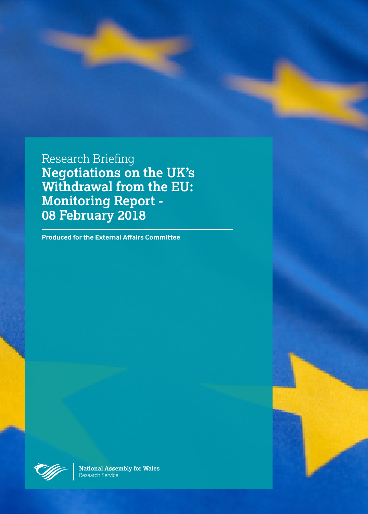Research Briefing **Negotiations on the UK's Withdrawal from the EU: Monitoring Report - 08 February 2018**

**Produced for the External Affairs Committee**



**National Assembly for Wales** Research Service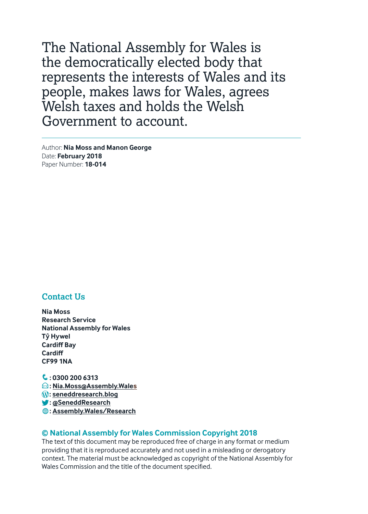The National Assembly for Wales is the democratically elected body that represents the interests of Wales and its people, makes laws for Wales, agrees Welsh taxes and holds the Welsh Government to account.

Author: **Nia Moss and Manon George** Date: **February 2018** Paper Number: **18-014**

#### **Contact Us**

**Nia Moss Research Service National Assembly for Wales Tŷ Hywel Cardiff Bay Cardiff CF99 1NA**

 $\mathbf{C}$ : 0300 200 6313 E**: Nia.Moss@Assembly.Wales** y**: seneddresearch.blog** a**: @SeneddResearch** a**: Assembly.Wales/Research**

#### **© National Assembly for Wales Commission Copyright 2018**

The text of this document may be reproduced free of charge in any format or medium providing that it is reproduced accurately and not used in a misleading or derogatory context. The material must be acknowledged as copyright of the National Assembly for Wales Commission and the title of the document specified.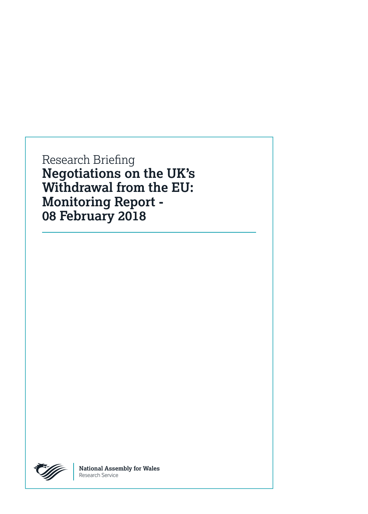Research Briefing **Negotiations on the UK's Withdrawal from the EU: Monitoring Report - 08 February 2018**



**National Assembly for Wales** Research Service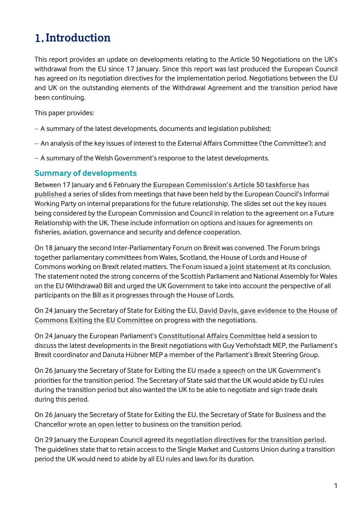## **Introduction**

This report provides an update on developments relating to the Article 50 Negotiations on the UK's withdrawal from the EU since 17 January. Since this report was last produced the European Council has agreed on its negotiation directives for the implementation period. Negotiations between the EU and UK on the outstanding elements of the Withdrawal Agreement and the transition period have been continuing.

This paper provides:

- A summary of the latest developments, documents and legislation published;
- An analysis of the key issues of interest to the External Affairs Committee ('the Committee'); and
- A summary of the Welsh Government's response to the latest developments.

### **Summary of developments**

Between 17 January and 6 February the **[European Commission's Article 50 taskforce](https://ec.europa.eu/commission/brexit-negotiations/negotiating-documents-article-50-negotiations-united-kingdom_en) has [published](https://ec.europa.eu/commission/brexit-negotiations/negotiating-documents-article-50-negotiations-united-kingdom_en)** a series of slides from meetings that have been held by the European Council's Informal Working Party on internal preparations for the future relationship. The slides set out the key issues being considered by the European Commission and Council in relation to the agreement on a Future Relationship with the UK. These include information on options and issues for agreements on fisheries, aviation, governance and security and defence cooperation.

On 18 January the second Inter-Parliamentary Forum on Brexit was convened. The Forum brings together parliamentary committees from Wales, Scotland, the House of Lords and House of Commons working on Brexit related matters. The Forum issued **[a joint statement](http://www.parliament.uk/documents/lords-committees/eu-select/Second-Interparliamentary-forum-on-brexit-statement.pdf)** at its conclusion. The statement noted the strong concerns of the Scottish Parliament and National Assembly for Wales on the EU (Withdrawal) Bill and urged the UK Government to take into account the perspective of all participants on the Bill as it progresses through the House of Lords.

On 24 January the Secretary of State for Exiting the EU, **[David Davis, gave evidence to the House of](http://data.parliament.uk/writtenevidence/committeeevidence.svc/evidencedocument/exiting-the-european-union-committee/the-progress-of-the-uks-negotiations-on-eu-withdrawal/oral/77453.html)  [Commons Exiting the EU Committee](http://data.parliament.uk/writtenevidence/committeeevidence.svc/evidencedocument/exiting-the-european-union-committee/the-progress-of-the-uks-negotiations-on-eu-withdrawal/oral/77453.html)** on progress with the negotiations.

On 24 January the European Parliament's **[Constitutional Affairs Committee](http://www.europarl.europa.eu/committees/en/afco/home.html)** held a session to discuss the latest developments in the Brexit negotiations with Guy Verhofstadt MEP, the Parliament's Brexit coordinator and Danuta Hübner MEP a member of the Parliament's Brexit Steering Group.

On 26 January the Secretary of State for Exiting the EU **[made a speech](https://www.gov.uk/government/news/david-davis-teesport-speech-implementation-period-a-bridge-to-the-future-partnership-between-the-uk-eu)** on the UK Government's priorities for the transition period. The Secretary of State said that the UK would abide by EU rules during the transition period but also wanted the UK to be able to negotiate and sign trade deals during this period.

On 26 January the Secretary of State for Exiting the EU, the Secretary of State for Business and the Chancellor **[wrote an open letter](https://www.gov.uk/government/news/open-letter-to-business-on-implementation-period)** to business on the transition period.

On 29 January the European Council agreed its **[negotiation directives for the transition period](http://www.consilium.europa.eu/media/32504/xt21004-ad01re02en18.pdf)**. The guidelines state that to retain access to the Single Market and Customs Union during a transition period the UK would need to abide by all EU rules and laws for its duration.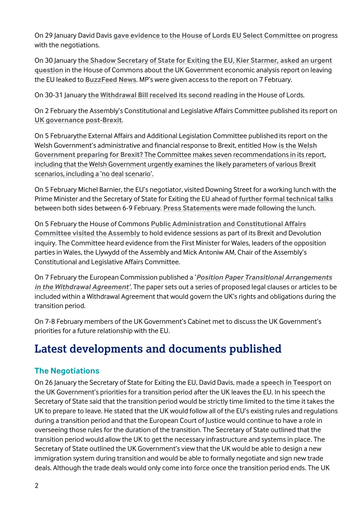On 29 January David Davis **[gave evidence to the House of Lords EU Select Committee](http://data.parliament.uk/writtenevidence/committeeevidence.svc/evidencedocument/european-union-committee/scrutiny-of-brexit-negotiations/oral/77707.html)** on progress with the negotiations.

On 30 January **[the Shadow Secretary of State for Exiting the EU, Kier Starmer,](https://hansard.parliament.uk/commons/2018-01-30/debates/CB1DB872-4A3C-4E04-B7CA-5F67987A9E49/LeavingTheEUEconomicAnalysis) asked an urgent [question](https://hansard.parliament.uk/commons/2018-01-30/debates/CB1DB872-4A3C-4E04-B7CA-5F67987A9E49/LeavingTheEUEconomicAnalysis)** in the House of Commons about the UK Government economic analysis report on leaving the EU leaked to **[BuzzFeed](https://www.buzzfeed.com/albertonardelli/the-governments-own-brexit-analysis-says-the-uk-will-be?utm_term=.oiPXdglZ8e#.ng1rpR8KXB) News**. MP's were given access to the report on 7 February.

On 30-31 January **[the Withdrawal Bill received its second reading](https://services.parliament.uk/bills/2017-19/europeanunionwithdrawal.html)** in the House of Lords.

On 2 February the Assembly's Constitutional and Legislative Affairs Committee published its report on **[UK governance post-Brexit](http://www.assembly.wales/laid%20documents/cr-ld11405/cr-ld11405-e.pdf)**.

On 5 Februarythe External Affairs and Additional Legislation Committee published its report on the Welsh Government's administrative and financial response to Brexit, entitled **[How is the Welsh](http://www.assembly.wales/laid%20documents/cr-ld11403/cr-ld11403-e.pdf)  [Government preparing for Brexit?](http://www.assembly.wales/laid%20documents/cr-ld11403/cr-ld11403-e.pdf)** The Committee makes seven recommendations in its report, including that the Welsh Government urgently examines the likely parameters of various Brexit scenarios, including a 'no deal scenario'.

On 5 February Michel Barnier, the EU's negotiator, visited Downing Street for a working lunch with the Prime Minister and the Secretary of State for Exiting the EU ahead of **[further formal technical talks](https://ec.europa.eu/commission/publications/programme-eu-uk-article-50-negotiations_en)** between both sides between 6-9 February. **Press [Statements](http://europa.eu/rapid/press-release_STATEMENT-18-642_en.htm)** were made following the lunch.

On 5 February the House of Commons **Public Administration [and Constitutional Affairs](http://www.parliament.uk/business/committees/committees-a-z/commons-select/public-administration-and-constitutional-affairs-committee/)  [Committee visited the Assembly](http://www.parliament.uk/business/committees/committees-a-z/commons-select/public-administration-and-constitutional-affairs-committee/)** to hold evidence sessions as part of its Brexit and Devolution inquiry. The Committee heard evidence from the First Minister for Wales, leaders of the opposition parties in Wales, the Llywydd of the Assembly and Mick Antoniw AM, Chair of the Assembly's Constitutional and Legislative Affairs Committee.

On 7 February the European Commission published a '*[Position Paper Transitional Arrangements](https://ec.europa.eu/commission/publications/position-paper-transitional-arrangements-withdrawal-agreement_en)  [in the Withdrawal Agreement'](https://ec.europa.eu/commission/publications/position-paper-transitional-arrangements-withdrawal-agreement_en).* The paper sets out a series of proposed legal clauses or articles to be included within a Withdrawal Agreement that would govern the UK's rights and obligations during the transition period.

On 7-8 February members of the UK Government's Cabinet met to discuss the UK Government's priorities for a future relationship with the EU.

## **Latest developments and documents published**

### **The Negotiations**

On 26 January the Secretary of State for Exiting the EU, David Davis, **[made a speech in Teesport](https://www.gov.uk/government/news/david-davis-teesport-speech-implementation-period-a-bridge-to-the-future-partnership-between-the-uk-eu)** on the UK Government's priorities for a transition period after the UK leaves the EU. In his speech the Secretary of State said that the transition period would be strictly time limited to the time it takes the UK to prepare to leave. He stated that the UK would follow all of the EU's existing rules and regulations during a transition period and that the European Court of Justice would continue to have a role in overseeing those rules for the duration of the transition. The Secretary of State outlined that the transition period would allow the UK to get the necessary infrastructure and systems in place. The Secretary of State outlined the UK Government's view that the UK would be able to design a new immigration system during transition and would be able to formally negotiate and sign new trade deals. Although the trade deals would only come into force once the transition period ends. The UK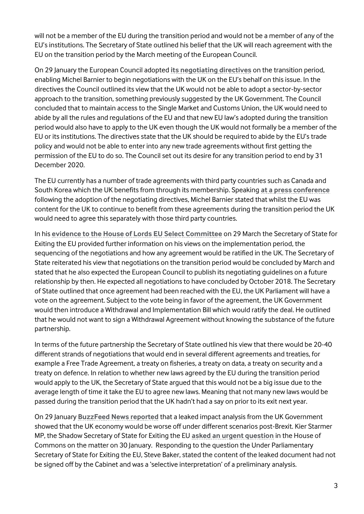will not be a member of the EU during the transition period and would not be a member of any of the EU's institutions. The Secretary of State outlined his belief that the UK will reach agreement with the EU on the transition period by the March meeting of the European Council.

On 29 January the European Council adopted **[its negotiating directives](http://www.consilium.europa.eu/media/32504/xt21004-ad01re02en18.pdf)** on the transition period, enabling Michel Barnier to begin negotiations with the UK on the EU's behalf on this issue. In the directives the Council outlined its view that the UK would not be able to adopt a sector-by-sector approach to the transition, something previously suggested by the UK Government. The Council concluded that to maintain access to the Single Market and Customs Union, the UK would need to abide by all the rules and regulations of the EU and that new EU law's adopted during the transition period would also have to apply to the UK even though the UK would not formally be a member of the EU or its institutions. The directives state that the UK should be required to abide by the EU's trade policy and would not be able to enter into any new trade agreements without first getting the permission of the EU to do so. The Council set out its desire for any transition period to end by 31 December 2020.

The EU currently has a number of trade agreements with third party countries such as Canada and South Korea which the UK benefits from through its membership. Speaking **[at a press conference](http://europa.eu/rapid/press-release_SPEECH-18-507_en.htm)** following the adoption of the negotiating directives, Michel Barnier stated that whilst the EU was content for the UK to continue to benefit from these agreements during the transition period the UK would need to agree this separately with those third party countries.

In his **[evidence to the House of Lords EU Select Committee](http://data.parliament.uk/writtenevidence/committeeevidence.svc/evidencedocument/european-union-committee/scrutiny-of-brexit-negotiations/oral/77707.html)** on 29 March the Secretary of State for Exiting the EU provided further information on his views on the implementation period, the sequencing of the negotiations and how any agreement would be ratified in the UK. The Secretary of State reiterated his view that negotiations on the transition period would be concluded by March and stated that he also expected the European Council to publish its negotiating guidelines on a future relationship by then. He expected all negotiations to have concluded by October 2018. The Secretary of State outlined that once agreement had been reached with the EU, the UK Parliament will have a vote on the agreement. Subject to the vote being in favor of the agreement, the UK Government would then introduce a Withdrawal and Implementation Bill which would ratify the deal. He outlined that he would not want to sign a Withdrawal Agreement without knowing the substance of the future partnership.

In terms of the future partnership the Secretary of State outlined his view that there would be 20-40 different strands of negotiations that would end in several different agreements and treaties, for example a Free Trade Agreement, a treaty on fisheries, a treaty on data, a treaty on security and a treaty on defence. In relation to whether new laws agreed by the EU during the transition period would apply to the UK, the Secretary of State argued that this would not be a big issue due to the average length of time it take the EU to agree new laws. Meaning that not many new laws would be passed during the transition period that the UK hadn't had a say on prior to its exit next year.

On 29 January **[BuzzFeed News reported](https://www.buzzfeed.com/albertonardelli/the-governments-own-brexit-analysis-says-the-uk-will-be?utm_term=.oiPXdglZ8e#.ng1rpR8KXB)** that a leaked impact analysis from the UK Government showed that the UK economy would be worse off under different scenarios post-Brexit. Kier Starmer MP, the Shadow Secretary of State for Exiting the EU **[asked an urgent question](https://hansard.parliament.uk/commons/2018-01-30/debates/CB1DB872-4A3C-4E04-B7CA-5F67987A9E49/LeavingTheEUEconomicAnalysis)** in the House of Commons on the matter on 30 January. Responding to the question the Under Parliamentary Secretary of State for Exiting the EU, Steve Baker, stated the content of the leaked document had not be signed off by the Cabinet and was a 'selective interpretation' of a preliminary analysis.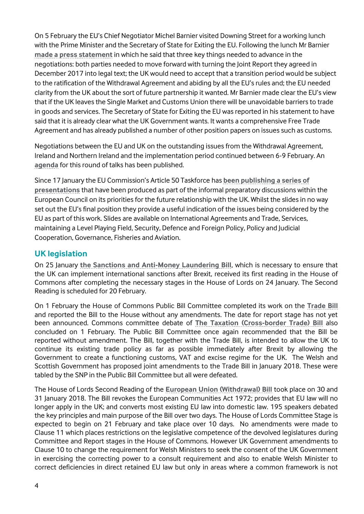On 5 February the EU's Chief Negotiator Michel Barnier visited Downing Street for a working lunch with the Prime Minister and the Secretary of State for Exiting the EU. Following the lunch Mr Barnier **[made a press statement](http://europa.eu/rapid/press-release_STATEMENT-18-642_en.htm)** in which he said that three key things needed to advance in the negotiations: both parties needed to move forward with turning the Joint Report they agreed in December 2017 into legal text; the UK would need to accept that a transition period would be subject to the ratification of the Withdrawal Agreement and abiding by all the EU's rules and; the EU needed clarity from the UK about the sort of future partnership it wanted. Mr Barnier made clear the EU's view that if the UK leaves the Single Market and Customs Union there will be unavoidable barriers to trade in goods and services. The Secretary of State for Exiting the EU was reported in his statement to have said that it is already clear what the UK Government wants. It wants a comprehensive Free Trade Agreement and has already published a number of other position papers on issues such as customs.

Negotiations between the EU and UK on the outstanding issues from the Withdrawal Agreement, Ireland and Northern Ireland and the implementation period continued between 6-9 February. An **[agenda](https://ec.europa.eu/commission/publications/programme-eu-uk-article-50-negotiations_en)** for this round of talks has been published.

Since 17 January the EU Commission's Article 50 Taskforce has **[been publishing a series of](https://ec.europa.eu/commission/brexit-negotiations/negotiating-documents-article-50-negotiations-united-kingdom_en)  [presentations](https://ec.europa.eu/commission/brexit-negotiations/negotiating-documents-article-50-negotiations-united-kingdom_en)** that have been produced as part of the informal preparatory discussions within the European Council on its priorities for the future relationship with the UK. Whilst the slides in no way set out the EU's final position they provide a useful indication of the issues being considered by the EU as part of this work. Slides are available on International Agreements and Trade, Services, maintaining a Level Playing Field, Security, Defence and Foreign Policy, Policy and Judicial Cooperation, Governance, Fisheries and Aviation.

### **UK legislation**

On 25 January **[the Sanctions and Anti-Money Laundering Bill](https://services.parliament.uk/bills/2017-19/sanctionsandantimoneylaundering/documents.html)**, which is necessary to ensure that the UK can implement international sanctions after Brexit, received its first reading in the House of Commons after completing the necessary stages in the House of Lords on 24 January. The Second Reading is scheduled for 20 February.

On 1 February the House of Commons Public Bill Committee completed its work on the **[Trade Bill](https://services.parliament.uk/bills/2017-19/trade.html)** and reported the Bill to the House without any amendments. The date for report stage has not yet been announced. Commons committee debate of **[The Taxation \(Cross-border Trade\) Bill](https://services.parliament.uk/bills/2017-19/taxationcrossbordertrade.html)** also concluded on 1 February. The Public Bill Committee once again recommended that the Bill be reported without amendment. The Bill, together with the Trade Bill, is intended to allow the UK to continue its existing trade policy as far as possible immediately after Brexit by allowing the Government to create a functioning customs, VAT and excise regime for the UK. The Welsh and Scottish Government has proposed joint amendments to the Trade Bill in January 2018. These were tabled by the SNP in the Public Bill Committee but all were defeated.

The House of Lords Second Reading of the **[European Union \(Withdrawal\) Bill](https://services.parliament.uk/bills/2017-19/europeanunionwithdrawal.html)** took place on 30 and 31 January 2018. The Bill revokes the European Communities Act 1972; provides that EU law will no longer apply in the UK; and converts most existing EU law into domestic law. 195 speakers debated the key principles and main purpose of the Bill over two days. The House of Lords Committee Stage is expected to begin on 21 February and take place over 10 days. No amendments were made to Clause 11 which places restrictions on the legislative competence of the devolved legislatures during Committee and Report stages in the House of Commons. However UK Government amendments to Clause 10 to change the requirement for Welsh Ministers to seek the consent of the UK Government in exercising the correcting power to a consult requirement and also to enable Welsh Minister to correct deficiencies in direct retained EU law but only in areas where a common framework is not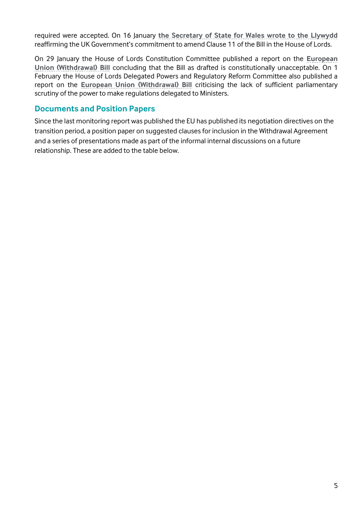required were accepted. On 16 January **[the Secretary of State for Wales wrote to the Llywydd](http://senedd.assembly.wales/documents/s71290/CLA5-03-18%20-%20Paper%205.pdf)** reaffirming the UK Government's commitment to amend Clause 11 of the Bill in the House of Lords.

On 29 January the House of Lords Constitution Committee published a report on the **[European](https://publications.parliament.uk/pa/ld201719/ldselect/ldconst/69/69.pdf)  [Union \(Withdrawal\) Bill](https://publications.parliament.uk/pa/ld201719/ldselect/ldconst/69/69.pdf)** concluding that the Bill as drafted is constitutionally unacceptable. On 1 February the House of Lords Delegated Powers and Regulatory Reform Committee also published a report on the **[European Union \(Withdrawal\) Bill](https://publications.parliament.uk/pa/ld201719/ldselect/lddelreg/73/73.pdf)** criticising the lack of sufficient parliamentary scrutiny of the power to make regulations delegated to Ministers.

#### **Documents and Position Papers**

Since the last monitoring report was published the EU has published its negotiation directives on the transition period, a position paper on suggested clauses for inclusion in the Withdrawal Agreement and a series of presentations made as part of the informal internal discussions on a future relationship. These are added to the table below.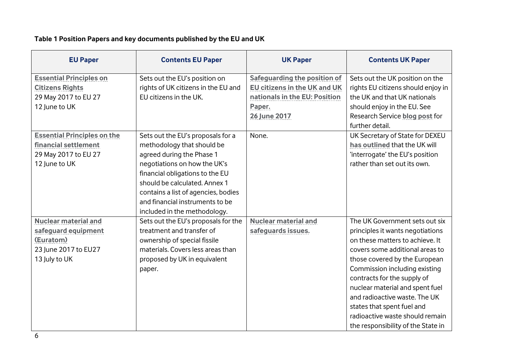### **Table 1 Position Papers and key documents published by the EU and UK**

| <b>EU Paper</b>                                                                                          | <b>Contents EU Paper</b>                                                                                                                                                                                                                                                                                   | <b>UK Paper</b>                                                                                      | <b>Contents UK Paper</b>                                                                                                                                                                                                                                                                                                                                                                                             |
|----------------------------------------------------------------------------------------------------------|------------------------------------------------------------------------------------------------------------------------------------------------------------------------------------------------------------------------------------------------------------------------------------------------------------|------------------------------------------------------------------------------------------------------|----------------------------------------------------------------------------------------------------------------------------------------------------------------------------------------------------------------------------------------------------------------------------------------------------------------------------------------------------------------------------------------------------------------------|
| <b>Essential Principles on</b><br><b>Citizens Rights</b><br>29 May 2017 to EU 27                         | Sets out the EU's position on<br>rights of UK citizens in the EU and<br>EU citizens in the UK.                                                                                                                                                                                                             | <b>Safeguarding the position of</b><br>EU citizens in the UK and UK<br>nationals in the EU: Position | Sets out the UK position on the<br>rights EU citizens should enjoy in<br>the UK and that UK nationals                                                                                                                                                                                                                                                                                                                |
| 12 June to UK                                                                                            |                                                                                                                                                                                                                                                                                                            | Paper.<br><b>26 June 2017</b>                                                                        | should enjoy in the EU. See<br>Research Service blog post for<br>further detail.                                                                                                                                                                                                                                                                                                                                     |
| <b>Essential Principles on the</b><br>financial settlement<br>29 May 2017 to EU 27<br>12 June to UK      | Sets out the EU's proposals for a<br>methodology that should be<br>agreed during the Phase 1<br>negotiations on how the UK's<br>financial obligations to the EU<br>should be calculated. Annex 1<br>contains a list of agencies, bodies<br>and financial instruments to be<br>included in the methodology. | None.                                                                                                | UK Secretary of State for DEXEU<br>has outlined that the UK will<br>'interrogate' the EU's position<br>rather than set out its own.                                                                                                                                                                                                                                                                                  |
| <b>Nuclear material and</b><br>safeguard equipment<br>(Euratom)<br>23 June 2017 to EU27<br>13 July to UK | Sets out the EU's proposals for the<br>treatment and transfer of<br>ownership of special fissile<br>materials. Covers less areas than<br>proposed by UK in equivalent<br>paper.                                                                                                                            | <b>Nuclear material and</b><br>safeguards issues.                                                    | The UK Government sets out six<br>principles it wants negotiations<br>on these matters to achieve. It<br>covers some additional areas to<br>those covered by the European<br>Commission including existing<br>contracts for the supply of<br>nuclear material and spent fuel<br>and radioactive waste. The UK<br>states that spent fuel and<br>radioactive waste should remain<br>the responsibility of the State in |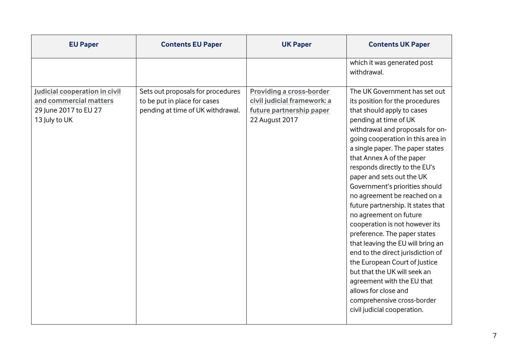| which it was generated post<br>withdrawal.<br>Judicial cooperation in civil<br>Sets out proposals for procedures<br><b>Providing a cross-border</b>                                                                                                                                                                                                                                                                                                                                                                 | <b>EU Paper</b> | <b>Contents EU Paper</b> | <b>UK Paper</b> | <b>Contents UK Paper</b>                                                                                                                                                                                                                                                                                                                                                                                                                                                                         |
|---------------------------------------------------------------------------------------------------------------------------------------------------------------------------------------------------------------------------------------------------------------------------------------------------------------------------------------------------------------------------------------------------------------------------------------------------------------------------------------------------------------------|-----------------|--------------------------|-----------------|--------------------------------------------------------------------------------------------------------------------------------------------------------------------------------------------------------------------------------------------------------------------------------------------------------------------------------------------------------------------------------------------------------------------------------------------------------------------------------------------------|
|                                                                                                                                                                                                                                                                                                                                                                                                                                                                                                                     |                 |                          |                 |                                                                                                                                                                                                                                                                                                                                                                                                                                                                                                  |
| and commercial matters<br>civil judicial framework: a<br>to be put in place for cases<br>29 June 2017 to EU 27<br>pending at time of UK withdrawal.<br>future partnership paper<br>that should apply to cases<br>22 August 2017<br>13 July to UK<br>pending at time of UK<br>that Annex A of the paper<br>responds directly to the EU's<br>paper and sets out the UK<br>no agreement on future<br>but that the UK will seek an<br>agreement with the EU that<br>allows for close and<br>civil judicial cooperation. |                 |                          |                 | The UK Government has set out<br>its position for the procedures<br>withdrawal and proposals for on-<br>going cooperation in this area in<br>a single paper. The paper states<br>Government's priorities should<br>no agreement be reached on a<br>future partnership. It states that<br>cooperation is not however its<br>preference. The paper states<br>that leaving the EU will bring an<br>end to the direct jurisdiction of<br>the European Court of Justice<br>comprehensive cross-border |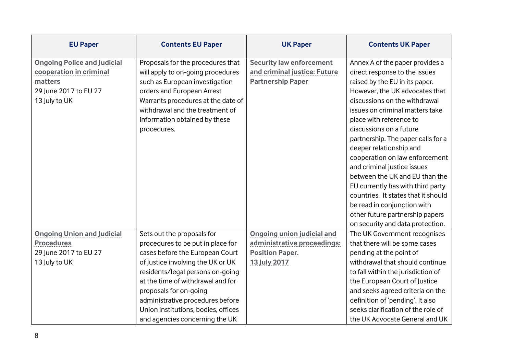| <b>EU Paper</b>                    | <b>Contents EU Paper</b>            | <b>UK Paper</b>                   | <b>Contents UK Paper</b>            |
|------------------------------------|-------------------------------------|-----------------------------------|-------------------------------------|
| <b>Ongoing Police and Judicial</b> | Proposals for the procedures that   | <b>Security law enforcement</b>   | Annex A of the paper provides a     |
| cooperation in criminal            | will apply to on-going procedures   | and criminal justice: Future      | direct response to the issues       |
| matters                            | such as European investigation      | <b>Partnership Paper</b>          | raised by the EU in its paper.      |
| 29 June 2017 to EU 27              | orders and European Arrest          |                                   | However, the UK advocates that      |
| 13 July to UK                      | Warrants procedures at the date of  |                                   | discussions on the withdrawal       |
|                                    | withdrawal and the treatment of     |                                   | issues on criminal matters take     |
|                                    | information obtained by these       |                                   | place with reference to             |
|                                    | procedures.                         |                                   | discussions on a future             |
|                                    |                                     |                                   | partnership. The paper calls for a  |
|                                    |                                     |                                   | deeper relationship and             |
|                                    |                                     |                                   | cooperation on law enforcement      |
|                                    |                                     |                                   | and criminal justice issues         |
|                                    |                                     |                                   | between the UK and EU than the      |
|                                    |                                     |                                   | EU currently has with third party   |
|                                    |                                     |                                   | countries. It states that it should |
|                                    |                                     |                                   | be read in conjunction with         |
|                                    |                                     |                                   | other future partnership papers     |
|                                    |                                     |                                   | on security and data protection.    |
| <b>Ongoing Union and Judicial</b>  | Sets out the proposals for          | <b>Ongoing union judicial and</b> | The UK Government recognises        |
| <b>Procedures</b>                  | procedures to be put in place for   | administrative proceedings:       | that there will be some cases       |
| 29 June 2017 to EU 27              | cases before the European Court     | <b>Position Paper.</b>            | pending at the point of             |
| 13 July to UK                      | of Justice involving the UK or UK   | <b>13 July 2017</b>               | withdrawal that should continue     |
|                                    | residents/legal persons on-going    |                                   | to fall within the jurisdiction of  |
|                                    | at the time of withdrawal and for   |                                   | the European Court of Justice       |
|                                    | proposals for on-going              |                                   | and seeks agreed criteria on the    |
|                                    | administrative procedures before    |                                   | definition of 'pending'. It also    |
|                                    | Union institutions, bodies, offices |                                   | seeks clarification of the role of  |
|                                    | and agencies concerning the UK      |                                   | the UK Advocate General and UK      |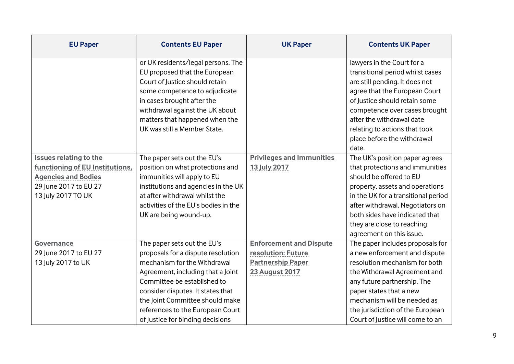| <b>EU Paper</b>                                                                                                                               | <b>Contents EU Paper</b>                                                                                                                                                                                                                                                                                              | <b>UK Paper</b>                                                                                           | <b>Contents UK Paper</b>                                                                                                                                                                                                                                                                               |
|-----------------------------------------------------------------------------------------------------------------------------------------------|-----------------------------------------------------------------------------------------------------------------------------------------------------------------------------------------------------------------------------------------------------------------------------------------------------------------------|-----------------------------------------------------------------------------------------------------------|--------------------------------------------------------------------------------------------------------------------------------------------------------------------------------------------------------------------------------------------------------------------------------------------------------|
|                                                                                                                                               | or UK residents/legal persons. The<br>EU proposed that the European<br>Court of Justice should retain<br>some competence to adjudicate<br>in cases brought after the<br>withdrawal against the UK about<br>matters that happened when the<br>UK was still a Member State.                                             |                                                                                                           | lawyers in the Court for a<br>transitional period whilst cases<br>are still pending. It does not<br>agree that the European Court<br>of Justice should retain some<br>competence over cases brought<br>after the withdrawal date<br>relating to actions that took                                      |
|                                                                                                                                               |                                                                                                                                                                                                                                                                                                                       |                                                                                                           | place before the withdrawal<br>date.                                                                                                                                                                                                                                                                   |
| <b>Issues relating to the</b><br>functioning of EU Institutions,<br><b>Agencies and Bodies</b><br>29 June 2017 to EU 27<br>13 July 2017 TO UK | The paper sets out the EU's<br>position on what protections and<br>immunities will apply to EU<br>institutions and agencies in the UK<br>at after withdrawal whilst the<br>activities of the EU's bodies in the<br>UK are being wound-up.                                                                             | <b>Privileges and Immunities</b><br><b>13 July 2017</b>                                                   | The UK's position paper agrees<br>that protections and immunities<br>should be offered to EU<br>property, assets and operations<br>in the UK for a transitional period<br>after withdrawal. Negotiators on<br>both sides have indicated that<br>they are close to reaching<br>agreement on this issue. |
| <b>Governance</b><br>29 June 2017 to EU 27<br>13 July 2017 to UK                                                                              | The paper sets out the EU's<br>proposals for a dispute resolution<br>mechanism for the Withdrawal<br>Agreement, including that a Joint<br>Committee be established to<br>consider disputes. It states that<br>the Joint Committee should make<br>references to the European Court<br>of Justice for binding decisions | <b>Enforcement and Dispute</b><br>resolution: Future<br><b>Partnership Paper</b><br><b>23 August 2017</b> | The paper includes proposals for<br>a new enforcement and dispute<br>resolution mechanism for both<br>the Withdrawal Agreement and<br>any future partnership. The<br>paper states that a new<br>mechanism will be needed as<br>the jurisdiction of the European<br>Court of Justice will come to an    |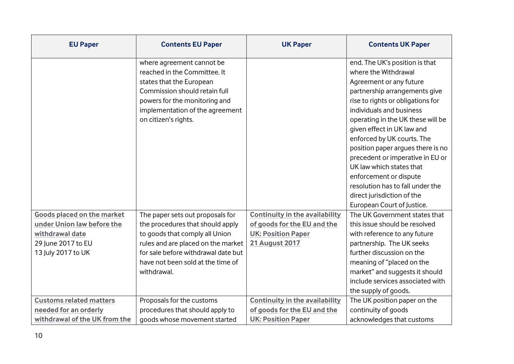| <b>EU Paper</b>                   | <b>Contents EU Paper</b>            | <b>UK Paper</b>                       | <b>Contents UK Paper</b>          |
|-----------------------------------|-------------------------------------|---------------------------------------|-----------------------------------|
|                                   | where agreement cannot be           |                                       | end. The UK's position is that    |
|                                   | reached in the Committee. It        |                                       | where the Withdrawal              |
|                                   | states that the European            |                                       | Agreement or any future           |
|                                   | Commission should retain full       |                                       | partnership arrangements give     |
|                                   | powers for the monitoring and       |                                       | rise to rights or obligations for |
|                                   | implementation of the agreement     |                                       | individuals and business          |
|                                   | on citizen's rights.                |                                       | operating in the UK these will be |
|                                   |                                     |                                       | given effect in UK law and        |
|                                   |                                     |                                       | enforced by UK courts. The        |
|                                   |                                     |                                       | position paper argues there is no |
|                                   |                                     |                                       | precedent or imperative in EU or  |
|                                   |                                     |                                       | UK law which states that          |
|                                   |                                     |                                       | enforcement or dispute            |
|                                   |                                     |                                       | resolution has to fall under the  |
|                                   |                                     |                                       | direct jurisdiction of the        |
|                                   |                                     |                                       | European Court of Justice.        |
| <b>Goods placed on the market</b> | The paper sets out proposals for    | <b>Continuity in the availability</b> | The UK Government states that     |
| under Union law before the        | the procedures that should apply    | of goods for the EU and the           | this issue should be resolved     |
| withdrawal date                   | to goods that comply all Union      | <b>UK: Position Paper</b>             | with reference to any future      |
| 29 June 2017 to EU                | rules and are placed on the market  | <b>21 August 2017</b>                 | partnership. The UK seeks         |
| 13 July 2017 to UK                | for sale before withdrawal date but |                                       | further discussion on the         |
|                                   | have not been sold at the time of   |                                       | meaning of "placed on the         |
|                                   | withdrawal.                         |                                       | market" and suggests it should    |
|                                   |                                     |                                       | include services associated with  |
|                                   |                                     |                                       | the supply of goods.              |
| <b>Customs related matters</b>    | Proposals for the customs           | <b>Continuity in the availability</b> | The UK position paper on the      |
| needed for an orderly             | procedures that should apply to     | of goods for the EU and the           | continuity of goods               |
| withdrawal of the UK from the     | goods whose movement started        | <b>UK: Position Paper</b>             | acknowledges that customs         |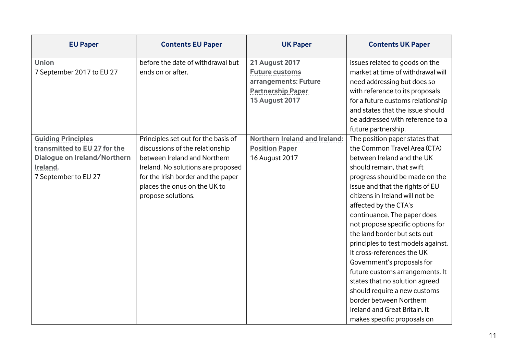| <b>EU Paper</b>              | <b>Contents EU Paper</b>            | <b>UK Paper</b>                      | <b>Contents UK Paper</b>           |
|------------------------------|-------------------------------------|--------------------------------------|------------------------------------|
| <b>Union</b>                 | before the date of withdrawal but   | <b>21 August 2017</b>                | issues related to goods on the     |
| 7 September 2017 to EU 27    | ends on or after.                   | <b>Future customs</b>                | market at time of withdrawal will  |
|                              |                                     | arrangements: Future                 | need addressing but does so        |
|                              |                                     | <b>Partnership Paper</b>             | with reference to its proposals    |
|                              |                                     | <b>15 August 2017</b>                | for a future customs relationship  |
|                              |                                     |                                      | and states that the issue should   |
|                              |                                     |                                      | be addressed with reference to a   |
|                              |                                     |                                      | future partnership.                |
| <b>Guiding Principles</b>    | Principles set out for the basis of | <b>Northern Ireland and Ireland:</b> | The position paper states that     |
| transmitted to EU 27 for the | discussions of the relationship     | <b>Position Paper</b>                | the Common Travel Area (CTA)       |
| Dialogue on Ireland/Northern | between Ireland and Northern        | 16 August 2017                       | between Ireland and the UK         |
| Ireland.                     | Ireland. No solutions are proposed  |                                      | should remain, that swift          |
| 7 September to EU 27         | for the Irish border and the paper  |                                      | progress should be made on the     |
|                              | places the onus on the UK to        |                                      | issue and that the rights of EU    |
|                              | propose solutions.                  |                                      | citizens in Ireland will not be    |
|                              |                                     |                                      | affected by the CTA's              |
|                              |                                     |                                      | continuance. The paper does        |
|                              |                                     |                                      | not propose specific options for   |
|                              |                                     |                                      | the land border but sets out       |
|                              |                                     |                                      | principles to test models against. |
|                              |                                     |                                      | It cross-references the UK         |
|                              |                                     |                                      | Government's proposals for         |
|                              |                                     |                                      | future customs arrangements. It    |
|                              |                                     |                                      | states that no solution agreed     |
|                              |                                     |                                      | should require a new customs       |
|                              |                                     |                                      | border between Northern            |
|                              |                                     |                                      | Ireland and Great Britain. It      |
|                              |                                     |                                      | makes specific proposals on        |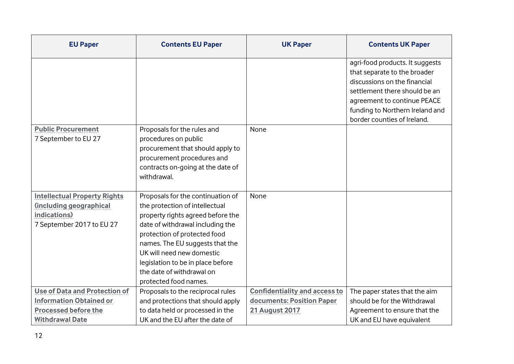| <b>EU Paper</b>                                                                                                                 | <b>Contents EU Paper</b>                                                                                                                                                                                                                                                                                                                | <b>UK Paper</b>                                                                            | <b>Contents UK Paper</b>                                                                                                                                                                                                          |
|---------------------------------------------------------------------------------------------------------------------------------|-----------------------------------------------------------------------------------------------------------------------------------------------------------------------------------------------------------------------------------------------------------------------------------------------------------------------------------------|--------------------------------------------------------------------------------------------|-----------------------------------------------------------------------------------------------------------------------------------------------------------------------------------------------------------------------------------|
|                                                                                                                                 |                                                                                                                                                                                                                                                                                                                                         |                                                                                            | agri-food products. It suggests<br>that separate to the broader<br>discussions on the financial<br>settlement there should be an<br>agreement to continue PEACE<br>funding to Northern Ireland and<br>border counties of Ireland. |
| <b>Public Procurement</b><br>7 September to EU 27                                                                               | Proposals for the rules and<br>procedures on public<br>procurement that should apply to<br>procurement procedures and<br>contracts on-going at the date of<br>withdrawal.                                                                                                                                                               | None                                                                                       |                                                                                                                                                                                                                                   |
| <b>Intellectual Property Rights</b><br>(including geographical<br>indications)<br>7 September 2017 to EU 27                     | Proposals for the continuation of<br>the protection of intellectual<br>property rights agreed before the<br>date of withdrawal including the<br>protection of protected food<br>names. The EU suggests that the<br>UK will need new domestic<br>legislation to be in place before<br>the date of withdrawal on<br>protected food names. | None                                                                                       |                                                                                                                                                                                                                                   |
| <b>Use of Data and Protection of</b><br><b>Information Obtained or</b><br><b>Processed before the</b><br><b>Withdrawal Date</b> | Proposals to the reciprocal rules<br>and protections that should apply<br>to data held or processed in the<br>UK and the EU after the date of                                                                                                                                                                                           | <b>Confidentiality and access to</b><br>documents: Position Paper<br><b>21 August 2017</b> | The paper states that the aim<br>should be for the Withdrawal<br>Agreement to ensure that the<br>UK and EU have equivalent                                                                                                        |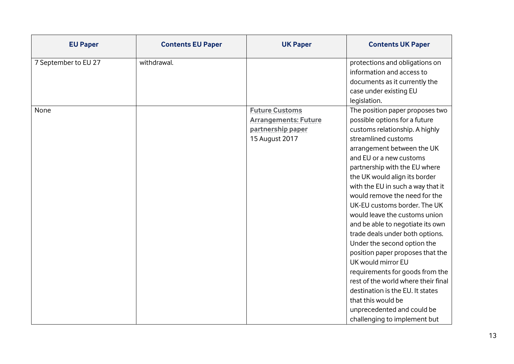| <b>EU Paper</b>      | <b>Contents EU Paper</b> | <b>UK Paper</b>                                                                             | <b>Contents UK Paper</b>                                                                                                                                                                                                                                                                                                                                                                                                                                                                                                                                                                                                                                                                                                                                                      |
|----------------------|--------------------------|---------------------------------------------------------------------------------------------|-------------------------------------------------------------------------------------------------------------------------------------------------------------------------------------------------------------------------------------------------------------------------------------------------------------------------------------------------------------------------------------------------------------------------------------------------------------------------------------------------------------------------------------------------------------------------------------------------------------------------------------------------------------------------------------------------------------------------------------------------------------------------------|
| 7 September to EU 27 | withdrawal.              |                                                                                             | protections and obligations on<br>information and access to<br>documents as it currently the<br>case under existing EU                                                                                                                                                                                                                                                                                                                                                                                                                                                                                                                                                                                                                                                        |
| None                 |                          | <b>Future Customs</b><br><b>Arrangements: Future</b><br>partnership paper<br>15 August 2017 | legislation.<br>The position paper proposes two<br>possible options for a future<br>customs relationship. A highly<br>streamlined customs<br>arrangement between the UK<br>and EU or a new customs<br>partnership with the EU where<br>the UK would align its border<br>with the EU in such a way that it<br>would remove the need for the<br>UK-EU customs border. The UK<br>would leave the customs union<br>and be able to negotiate its own<br>trade deals under both options.<br>Under the second option the<br>position paper proposes that the<br>UK would mirror EU<br>requirements for goods from the<br>rest of the world where their final<br>destination is the EU. It states<br>that this would be<br>unprecedented and could be<br>challenging to implement but |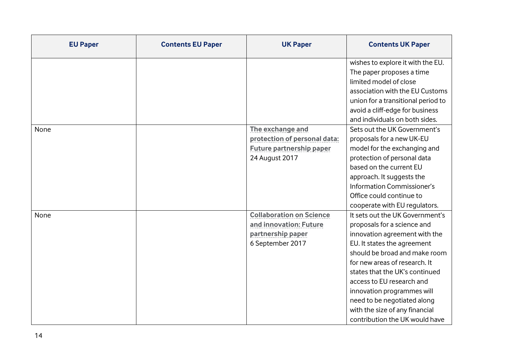| <b>EU Paper</b> | <b>Contents EU Paper</b> | <b>UK Paper</b>                 | <b>Contents UK Paper</b>           |
|-----------------|--------------------------|---------------------------------|------------------------------------|
|                 |                          |                                 | wishes to explore it with the EU.  |
|                 |                          |                                 | The paper proposes a time          |
|                 |                          |                                 | limited model of close             |
|                 |                          |                                 | association with the EU Customs    |
|                 |                          |                                 | union for a transitional period to |
|                 |                          |                                 | avoid a cliff-edge for business    |
|                 |                          |                                 | and individuals on both sides.     |
| None            |                          | The exchange and                | Sets out the UK Government's       |
|                 |                          | protection of personal data:    | proposals for a new UK-EU          |
|                 |                          | <b>Future partnership paper</b> | model for the exchanging and       |
|                 |                          | 24 August 2017                  | protection of personal data        |
|                 |                          |                                 | based on the current EU            |
|                 |                          |                                 | approach. It suggests the          |
|                 |                          |                                 | Information Commissioner's         |
|                 |                          |                                 | Office could continue to           |
|                 |                          |                                 | cooperate with EU regulators.      |
| <b>None</b>     |                          | <b>Collaboration on Science</b> | It sets out the UK Government's    |
|                 |                          | and innovation: Future          | proposals for a science and        |
|                 |                          | partnership paper               | innovation agreement with the      |
|                 |                          | 6 September 2017                | EU. It states the agreement        |
|                 |                          |                                 | should be broad and make room      |
|                 |                          |                                 | for new areas of research. It      |
|                 |                          |                                 | states that the UK's continued     |
|                 |                          |                                 | access to EU research and          |
|                 |                          |                                 | innovation programmes will         |
|                 |                          |                                 | need to be negotiated along        |
|                 |                          |                                 | with the size of any financial     |
|                 |                          |                                 | contribution the UK would have     |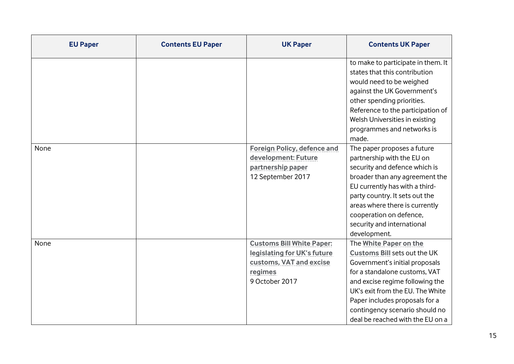| <b>EU Paper</b> | <b>Contents EU Paper</b> | <b>UK Paper</b>                                                                                                         | <b>Contents UK Paper</b>                                                                                                                                                                                                                                                                                    |
|-----------------|--------------------------|-------------------------------------------------------------------------------------------------------------------------|-------------------------------------------------------------------------------------------------------------------------------------------------------------------------------------------------------------------------------------------------------------------------------------------------------------|
|                 |                          |                                                                                                                         | to make to participate in them. It<br>states that this contribution<br>would need to be weighed<br>against the UK Government's<br>other spending priorities.<br>Reference to the participation of<br>Welsh Universities in existing<br>programmes and networks is<br>made.                                  |
| None            |                          | <b>Foreign Policy, defence and</b><br>development: Future<br>partnership paper<br>12 September 2017                     | The paper proposes a future<br>partnership with the EU on<br>security and defence which is<br>broader than any agreement the<br>EU currently has with a third-<br>party country. It sets out the<br>areas where there is currently<br>cooperation on defence,<br>security and international<br>development. |
| None            |                          | <b>Customs Bill White Paper:</b><br>legislating for UK's future<br>customs, VAT and excise<br>regimes<br>9 October 2017 | The White Paper on the<br>Customs Bill sets out the UK<br>Government's initial proposals<br>for a standalone customs, VAT<br>and excise regime following the<br>UK's exit from the EU. The White<br>Paper includes proposals for a<br>contingency scenario should no<br>deal be reached with the EU on a    |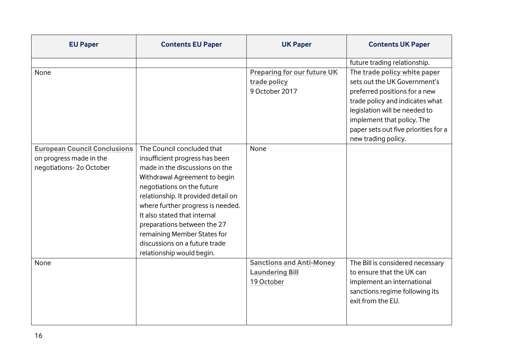| <b>EU Paper</b>                                                                           | <b>Contents EU Paper</b>                                                                                                                                                                                                                                                                                                                                                                              | <b>UK Paper</b>                                                         | <b>Contents UK Paper</b>                                                                                                                                                                                                                                       |
|-------------------------------------------------------------------------------------------|-------------------------------------------------------------------------------------------------------------------------------------------------------------------------------------------------------------------------------------------------------------------------------------------------------------------------------------------------------------------------------------------------------|-------------------------------------------------------------------------|----------------------------------------------------------------------------------------------------------------------------------------------------------------------------------------------------------------------------------------------------------------|
|                                                                                           |                                                                                                                                                                                                                                                                                                                                                                                                       |                                                                         | future trading relationship.                                                                                                                                                                                                                                   |
| None                                                                                      |                                                                                                                                                                                                                                                                                                                                                                                                       | <b>Preparing for our future UK</b><br>trade policy<br>9 October 2017    | The trade policy white paper<br>sets out the UK Government's<br>preferred positions for a new<br>trade policy and indicates what<br>legislation will be needed to<br>implement that policy. The<br>paper sets out five priorities for a<br>new trading policy. |
| <b>European Council Conclusions</b><br>on progress made in the<br>negotiations-2o October | The Council concluded that<br>insufficient progress has been<br>made in the discussions on the<br>Withdrawal Agreement to begin<br>negotiations on the future<br>relationship. It provided detail on<br>where further progress is needed.<br>It also stated that internal<br>preparations between the 27<br>remaining Member States for<br>discussions on a future trade<br>relationship would begin. | None                                                                    |                                                                                                                                                                                                                                                                |
| None                                                                                      |                                                                                                                                                                                                                                                                                                                                                                                                       | <b>Sanctions and Anti-Money</b><br><b>Laundering Bill</b><br>19 October | The Bill is considered necessary<br>to ensure that the UK can<br>implement an international<br>sanctions regime following its<br>exit from the EU.                                                                                                             |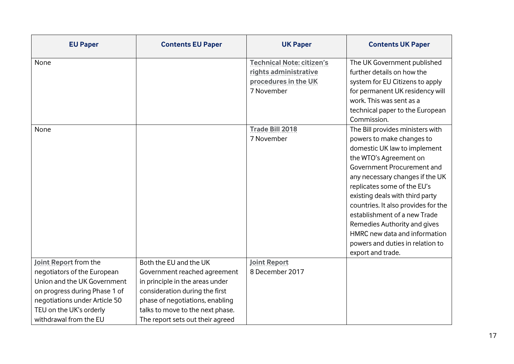| <b>EU Paper</b>                                                                                                                                                                                            | <b>Contents EU Paper</b>                                                                                                                                                                                                               | <b>UK Paper</b>                                                                                 | <b>Contents UK Paper</b>                                                                                                                                                                                                                                                                                                                                                         |
|------------------------------------------------------------------------------------------------------------------------------------------------------------------------------------------------------------|----------------------------------------------------------------------------------------------------------------------------------------------------------------------------------------------------------------------------------------|-------------------------------------------------------------------------------------------------|----------------------------------------------------------------------------------------------------------------------------------------------------------------------------------------------------------------------------------------------------------------------------------------------------------------------------------------------------------------------------------|
| None                                                                                                                                                                                                       |                                                                                                                                                                                                                                        | <b>Technical Note: citizen's</b><br>rights administrative<br>procedures in the UK<br>7 November | The UK Government published<br>further details on how the<br>system for EU Citizens to apply<br>for permanent UK residency will<br>work. This was sent as a<br>technical paper to the European                                                                                                                                                                                   |
| None                                                                                                                                                                                                       |                                                                                                                                                                                                                                        | <b>Trade Bill 2018</b><br>7 November                                                            | Commission.<br>The Bill provides ministers with<br>powers to make changes to<br>domestic UK law to implement<br>the WTO's Agreement on<br>Government Procurement and<br>any necessary changes if the UK<br>replicates some of the EU's<br>existing deals with third party<br>countries. It also provides for the<br>establishment of a new Trade<br>Remedies Authority and gives |
|                                                                                                                                                                                                            |                                                                                                                                                                                                                                        |                                                                                                 | HMRC new data and information<br>powers and duties in relation to<br>export and trade.                                                                                                                                                                                                                                                                                           |
| Joint Report from the<br>negotiators of the European<br>Union and the UK Government<br>on progress during Phase 1 of<br>negotiations under Article 50<br>TEU on the UK's orderly<br>withdrawal from the EU | Both the EU and the UK<br>Government reached agreement<br>in principle in the areas under<br>consideration during the first<br>phase of negotiations, enabling<br>talks to move to the next phase.<br>The report sets out their agreed | <b>Joint Report</b><br>8 December 2017                                                          |                                                                                                                                                                                                                                                                                                                                                                                  |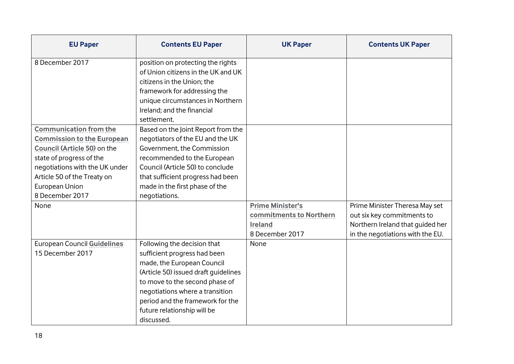| <b>EU Paper</b>                                                                                                                                                                                                                     | <b>Contents EU Paper</b>                                                                                                                                                                                                                                                                | <b>UK Paper</b>                                                                         | <b>Contents UK Paper</b>                                                                                                             |
|-------------------------------------------------------------------------------------------------------------------------------------------------------------------------------------------------------------------------------------|-----------------------------------------------------------------------------------------------------------------------------------------------------------------------------------------------------------------------------------------------------------------------------------------|-----------------------------------------------------------------------------------------|--------------------------------------------------------------------------------------------------------------------------------------|
| 8 December 2017                                                                                                                                                                                                                     | position on protecting the rights<br>of Union citizens in the UK and UK<br>citizens in the Union; the<br>framework for addressing the<br>unique circumstances in Northern<br>Ireland; and the financial<br>settlement.                                                                  |                                                                                         |                                                                                                                                      |
| <b>Communication from the</b><br><b>Commission to the European</b><br>Council (Article 50) on the<br>state of progress of the<br>negotiations with the UK under<br>Article 50 of the Treaty on<br>European Union<br>8 December 2017 | Based on the Joint Report from the<br>negotiators of the EU and the UK<br>Government, the Commission<br>recommended to the European<br>Council (Article 50) to conclude<br>that sufficient progress had been<br>made in the first phase of the<br>negotiations.                         |                                                                                         |                                                                                                                                      |
| None                                                                                                                                                                                                                                |                                                                                                                                                                                                                                                                                         | <b>Prime Minister's</b><br>commitments to Northern<br><b>Ireland</b><br>8 December 2017 | Prime Minister Theresa May set<br>out six key commitments to<br>Northern Ireland that guided her<br>in the negotiations with the EU. |
| <b>European Council Guidelines</b><br>15 December 2017                                                                                                                                                                              | Following the decision that<br>sufficient progress had been<br>made, the European Council<br>(Article 50) issued draft guidelines<br>to move to the second phase of<br>negotiations where a transition<br>period and the framework for the<br>future relationship will be<br>discussed. | None                                                                                    |                                                                                                                                      |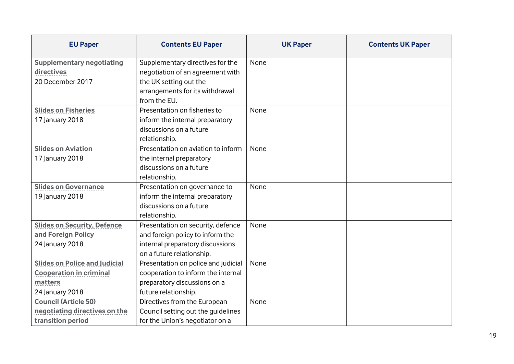| <b>EU Paper</b>                      | <b>Contents EU Paper</b>            | <b>UK Paper</b> | <b>Contents UK Paper</b> |
|--------------------------------------|-------------------------------------|-----------------|--------------------------|
| <b>Supplementary negotiating</b>     | Supplementary directives for the    | None            |                          |
| directives                           | negotiation of an agreement with    |                 |                          |
| 20 December 2017                     | the UK setting out the              |                 |                          |
|                                      | arrangements for its withdrawal     |                 |                          |
|                                      | from the EU.                        |                 |                          |
| <b>Slides on Fisheries</b>           | Presentation on fisheries to        | None            |                          |
| 17 January 2018                      | inform the internal preparatory     |                 |                          |
|                                      | discussions on a future             |                 |                          |
|                                      | relationship.                       |                 |                          |
| <b>Slides on Aviation</b>            | Presentation on aviation to inform  | None            |                          |
| 17 January 2018                      | the internal preparatory            |                 |                          |
|                                      | discussions on a future             |                 |                          |
|                                      | relationship.                       |                 |                          |
| <b>Slides on Governance</b>          | Presentation on governance to       | None            |                          |
| 19 January 2018                      | inform the internal preparatory     |                 |                          |
|                                      | discussions on a future             |                 |                          |
|                                      | relationship.                       |                 |                          |
| <b>Slides on Security, Defence</b>   | Presentation on security, defence   | None            |                          |
| and Foreign Policy                   | and foreign policy to inform the    |                 |                          |
| 24 January 2018                      | internal preparatory discussions    |                 |                          |
|                                      | on a future relationship.           |                 |                          |
| <b>Slides on Police and Judicial</b> | Presentation on police and judicial | None            |                          |
| <b>Cooperation in criminal</b>       | cooperation to inform the internal  |                 |                          |
| matters                              | preparatory discussions on a        |                 |                          |
| 24 January 2018                      | future relationship.                |                 |                          |
| <b>Council (Article 50)</b>          | Directives from the European        | None            |                          |
| negotiating directives on the        | Council setting out the guidelines  |                 |                          |
| transition period                    | for the Union's negotiator on a     |                 |                          |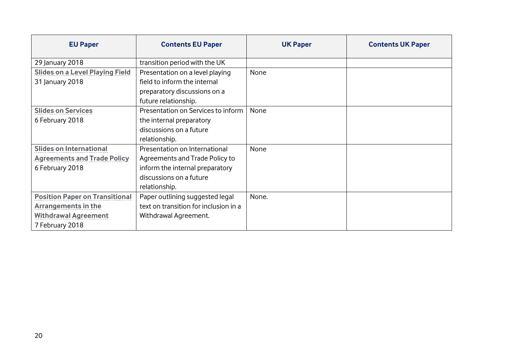| <b>EU Paper</b>                        | <b>Contents EU Paper</b>              | <b>UK Paper</b> | <b>Contents UK Paper</b> |
|----------------------------------------|---------------------------------------|-----------------|--------------------------|
| 29 January 2018                        | transition period with the UK         |                 |                          |
| <b>Slides on a Level Playing Field</b> | Presentation on a level playing       | None            |                          |
| 31 January 2018                        | field to inform the internal          |                 |                          |
|                                        | preparatory discussions on a          |                 |                          |
|                                        | future relationship.                  |                 |                          |
| <b>Slides on Services</b>              | Presentation on Services to inform    | None            |                          |
| 6 February 2018                        | the internal preparatory              |                 |                          |
|                                        | discussions on a future               |                 |                          |
|                                        | relationship.                         |                 |                          |
| <b>Slides on International</b>         | Presentation on International         | <b>None</b>     |                          |
| <b>Agreements and Trade Policy</b>     | Agreements and Trade Policy to        |                 |                          |
| 6 February 2018                        | inform the internal preparatory       |                 |                          |
|                                        | discussions on a future               |                 |                          |
|                                        | relationship.                         |                 |                          |
| <b>Position Paper on Transitional</b>  | Paper outlining suggested legal       | None.           |                          |
| <b>Arrangements in the</b>             | text on transition for inclusion in a |                 |                          |
| <b>Withdrawal Agreement</b>            | Withdrawal Agreement.                 |                 |                          |
| 7 February 2018                        |                                       |                 |                          |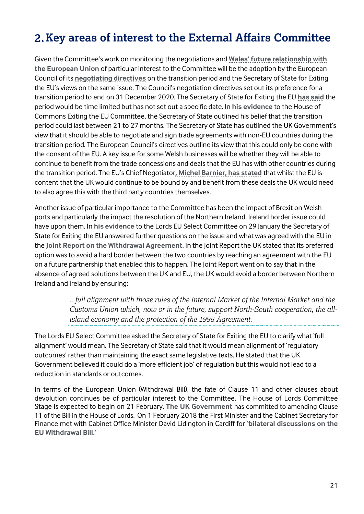# **Key areas of interest to the External Affairs Committee**

Given the Committee's work on monitoring the negotiations and **[Wales' future relationship with](http://www.senedd.assembly.wales/mgConsultationDisplay.aspx?id=289&RPID=1509953423&cp=yes)  [the European Union](http://www.senedd.assembly.wales/mgConsultationDisplay.aspx?id=289&RPID=1509953423&cp=yes)** of particular interest to the Committee will be the adoption by the European Council of its **[negotiating directives](http://www.consilium.europa.eu/media/32504/xt21004-ad01re02en18.pdf)** on the transition period and the Secretary of State for Exiting the EU's views on the same issue. The Council's negotiation directives set out its preference for a transition period to end on 31 December 2020. The Secretary of State for Exiting the EU **[has said](https://www.gov.uk/government/news/david-davis-teesport-speech-implementation-period-a-bridge-to-the-future-partnership-between-the-uk-eu)** the period would be time limited but has not set out a specific date. In **[his evidence](http://data.parliament.uk/writtenevidence/committeeevidence.svc/evidencedocument/exiting-the-european-union-committee/the-progress-of-the-uks-negotiations-on-eu-withdrawal/oral/77453.html)** to the House of Commons Exiting the EU Committee, the Secretary of State outlined his belief that the transition period could last between 21 to 27 months. The Secretary of State has outlined the UK Government's view that it should be able to negotiate and sign trade agreements with non-EU countries during the transition period. The European Council's directives outline its view that this could only be done with the consent of the EU. A key issue for some Welsh businesses will be whether they will be able to continue to benefit from the trade concessions and deals that the EU has with other countries during the transition period. The EU's Chief Negotiator**[, Michel Barnier, has stated](http://europa.eu/rapid/press-release_SPEECH-18-507_en.htm)** that whilst the EU is content that the UK would continue to be bound by and benefit from these deals the UK would need to also agree this with the third party countries themselves.

Another issue of particular importance to the Committee has been the impact of Brexit on Welsh ports and particularly the impact the resolution of the Northern Ireland, Ireland border issue could have upon them. In **[his evidence](http://data.parliament.uk/writtenevidence/committeeevidence.svc/evidencedocument/european-union-committee/scrutiny-of-brexit-negotiations/oral/77707.html)** to the Lords EU Select Committee on 29 January the Secretary of State for Exiting the EU answered further questions on the issue and what was agreed with the EU in the **[Joint Report on the Withdrawal Agreement](https://ec.europa.eu/commission/publications/joint-report-negotiators-european-union-and-united-kingdom-government-progress-during-phase-1-negotiations-under-article-50-teu-united-kingdoms-orderly-withdrawal-european-union_en)**. In the Joint Report the UK stated that its preferred option was to avoid a hard border between the two countries by reaching an agreement with the EU on a future partnership that enabled this to happen. The Joint Report went on to say that in the absence of agreed solutions between the UK and EU, the UK would avoid a border between Northern Ireland and Ireland by ensuring:

> *.. full alignment with those rules of the Internal Market of the Internal Market and the Customs Union which, now or in the future, support North-South cooperation, the allisland economy and the protection of the 1998 Agreement.*

The Lords EU Select Committee asked the Secretary of State for Exiting the EU to clarify what 'full alignment' would mean. The Secretary of State said that it would mean alignment of 'regulatory outcomes' rather than maintaining the exact same legislative texts. He stated that the UK Government believed it could do a 'more efficient job' of regulation but this would not lead to a reduction in standards or outcomes.

In terms of the European Union (Withdrawal Bill), the fate of Clause 11 and other clauses about devolution continues be of particular interest to the Committee. The House of Lords Committee Stage is expected to begin on 21 February. **[The UK Government](http://senedd.assembly.wales/documents/s71290/CLA5-03-18%20-%20Paper%205.pdf)** has committed to amending Clause 11 of the Bill in the House of Lords. On 1 February 2018 the First Minister and the Cabinet Secretary for Finance met with Cabinet Office Minister David Lidington in Cardiff for **['bilateral discussions on the](https://www.gov.uk/government/news/david-lidington-in-wales-and-scotland-for-talks-on-business-and-brexit)  [EU Withdrawal Bill.'](https://www.gov.uk/government/news/david-lidington-in-wales-and-scotland-for-talks-on-business-and-brexit)**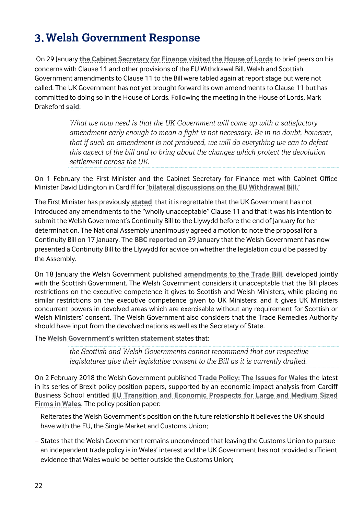# **Welsh Government Response**

On 29 January **[the Cabinet Secretary for Finance visited the House of Lords](http://gov.wales/newsroom/finance1/2018/180130-finance-secretary-encouraged-by-discussions-with-peers-asbrexit-bill-enters-2nd-reading/?lang=en)** to brief peers on his concerns with Clause 11 and other provisions of the EU Withdrawal Bill. Welsh and Scottish Government amendments to Clause 11 to the Bill were tabled again at report stage but were not called. The UK Government has not yet brought forward its own amendments to Clause 11 but has committed to doing so in the House of Lords. Following the meeting in the House of Lords, Mark Drakeford **[said](http://gov.wales/newsroom/finance1/2018/180130-finance-secretary-encouraged-by-discussions-with-peers-asbrexit-bill-enters-2nd-reading/?lang=en)**:

> *What we now need is that the UK Government will come up with a satisfactory amendment early enough to mean a fight is not necessary. Be in no doubt, however, that if such an amendment is not produced, we will do everything we can to defeat this aspect of the bill and to bring about the changes which protect the devolution settlement across the UK.*

On 1 February the First Minister and the Cabinet Secretary for Finance met with Cabinet Office Minister David Lidington in Cardiff for **['bilateral discussions on the EU Withdrawal Bill.'](https://www.gov.uk/government/news/david-lidington-in-wales-and-scotland-for-talks-on-business-and-brexit)**

The First Minister has previously **[stated](http://gov.wales/about/cabinet/cabinetstatements/2018/euwithdrawalbill/?lang=en)** that it is regrettable that the UK Government has not introduced any amendments to the "wholly unacceptable" Clause 11 and that it was his intention to submit the Welsh Government's Continuity Bill to the Llywydd before the end of January for her determination. The National Assembly unanimously agreed a motion to note the proposal for a Continuity Bill on 17 January. The **[BBC reported](http://www.bbc.co.uk/news/uk-wales-politics-42831245)** on 29 January that the Welsh Government has now presented a Continuity Bill to the Llywydd for advice on whether the legislation could be passed by the Assembly.

On 18 January the Welsh Government published **[amendments to the Trade Bill](http://gov.wales/docs/cabinetstatements/2018/180118amendmentstoukstradebill-jan172018-amendments.pdf)**, developed jointly with the Scottish Government. The Welsh Government considers it unacceptable that the Bill places restrictions on the executive competence it gives to Scottish and Welsh Ministers, while placing no similar restrictions on the executive competence given to UK Ministers; and it gives UK Ministers concurrent powers in devolved areas which are exercisable without any requirement for Scottish or Welsh Ministers' consent. The Welsh Government also considers that the Trade Remedies Authority should have input from the devolved nations as well as the Secretary of State.

The **[Welsh Government's written statement](http://gov.wales/about/cabinet/cabinetstatements/2018/amendmentstouktradebill/?lang=en)** states that:

*the Scottish and Welsh Governments cannot recommend that our respective legislatures give their legislative consent to the Bill as it is currently drafted.*

On 2 February 2018 the Welsh Government published **[Trade Policy: The Issues for Wales](https://beta.gov.wales/sites/default/files/2018-01/180202-trade-policy-the-issues-for-wales.PDF)** the latest in its series of Brexit policy position papers, supported by an economic impact analysis from Cardiff Business School entitled **[EU Transition and Economic Prospects for Large and Medium Sized](http://gov.wales/docs/det/publications/180202-eu-transition-and-economic-prospects-for-large-and-medium-sized-firms-in-wales-en.pdf)  [Firms in Wales](http://gov.wales/docs/det/publications/180202-eu-transition-and-economic-prospects-for-large-and-medium-sized-firms-in-wales-en.pdf)**. The policy position paper:

- Reiterates the Welsh Government's position on the future relationship it believes the UK should have with the EU, the Single Market and Customs Union;
- States that the Welsh Government remains unconvinced that leaving the Customs Union to pursue an independent trade policy is in Wales' interest and the UK Government has not provided sufficient evidence that Wales would be better outside the Customs Union;